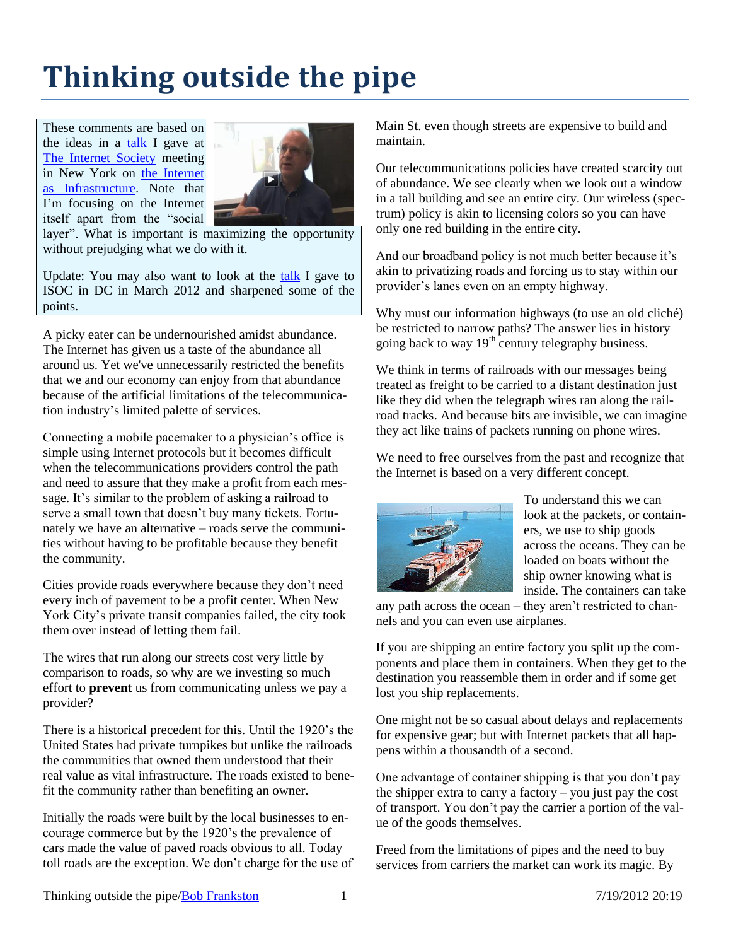## **Thinking outside the pipe**

These comments are based on the ideas in a [talk](http://www.livestream.com/internetsocietychapters/video?clipId=pla_47037644-3f12-4d14-ac5a-bf1a635e6463) I gave a[t](http://rmf.vc/ISOCInternetAsInfrastructure?x=totp) [The Internet Society](http://rmf.vc/ISOCInternetAsInfrastructure?x=totp) meeting in New York on [the Internet](http://rmf.vc/InternetAsInfrastructure?x=totp)  [as Infrastructure.](http://rmf.vc/InternetAsInfrastructure?x=totp) Note that I'm focusing on the Internet itself apart from the "social



layer". What is important is maximizing the opportunity without prejudging what we do with it.

Update: You may also want to look at the [talk](http://rmf.vc/DIYToInternet) I gave to ISOC in DC in March 2012 and sharpened some of the points.

A picky eater can be undernourished amidst abundance. The Internet has given us a taste of the abundance all around us. Yet we've unnecessarily restricted the benefits that we and our economy can enjoy from that abundance because of the artificial limitations of the telecommunication industry's limited palette of services.

Connecting a mobile pacemaker to a physician's office is simple using Internet protocols but it becomes difficult when the telecommunications providers control the path and need to assure that they make a profit from each message. It's similar to the problem of asking a railroad to serve a small town that doesn't buy many tickets. Fortunately we have an alternative – roads serve the communities without having to be profitable because they benefit the community.

Cities provide roads everywhere because they don't need every inch of pavement to be a profit center. When New York City's private transit companies failed, the city took them over instead of letting them fail.

The wires that run along our streets cost very little by comparison to roads, so why are we investing so much effort to **prevent** us from communicating unless we pay a provider?

There is a historical precedent for this. Until the 1920's the United States had private turnpikes but unlike the railroads the communities that owned them understood that their real value as vital infrastructure. The roads existed to benefit the community rather than benefiting an owner.

Initially the roads were built by the local businesses to encourage commerce but by the 1920's the prevalence of cars made the value of paved roads obvious to all. Today toll roads are the exception. We don't charge for the use of Main St. even though streets are expensive to build and maintain.

Our telecommunications policies have created scarcity out of abundance. We see clearly when we look out a window in a tall building and see an entire city. Our wireless (spectrum) policy is akin to licensing colors so you can have only one red building in the entire city.

And our broadband policy is not much better because it's akin to privatizing roads and forcing us to stay within our provider's lanes even on an empty highway.

Why must our information highways (to use an old cliché) be restricted to narrow paths? The answer lies in history going back to way  $19<sup>th</sup>$  century telegraphy business.

We think in terms of railroads with our messages being treated as freight to be carried to a distant destination just like they did when the telegraph wires ran along the railroad tracks. And because bits are invisible, we can imagine they act like trains of packets running on phone wires.

We need to free ourselves from the past and recognize that the Internet is based on a very different concept.



To understand this we can look at the packets, or containers, we use to ship goods across the oceans. They can be loaded on boats without the ship owner knowing what is inside. The containers can take

any path across the ocean – they aren't restricted to channels and you can even use airplanes.

If you are shipping an entire factory you split up the components and place them in containers. When they get to the destination you reassemble them in order and if some get lost you ship replacements.

One might not be so casual about delays and replacements for expensive gear; but with Internet packets that all happens within a thousandth of a second.

One advantage of container shipping is that you don't pay the shipper extra to carry a factory – you just pay the cost of transport. You don't pay the carrier a portion of the value of the goods themselves.

Freed from the limitations of pipes and the need to buy services from carriers the market can work its magic. By